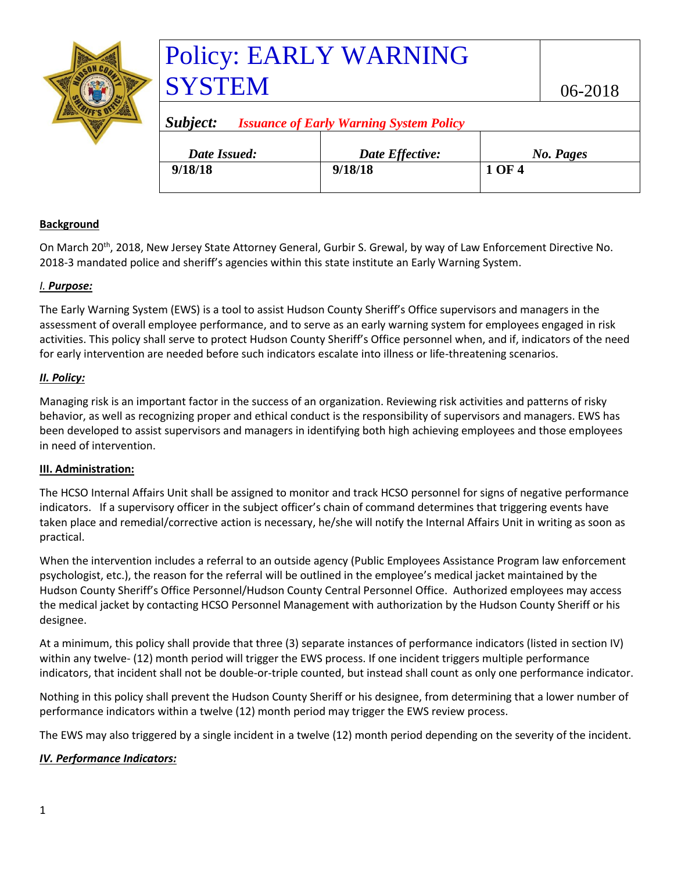|  | <b>Policy: E</b> |
|--|------------------|
|  | <b>SYSTEN</b>    |
|  | Subject:<br>Issi |
|  | Date Issued:     |

# **EARLY WARNING** SYSTEM 06-2018

| Subject:<br><b>Issuance of Early Warning System Policy</b> |                 |           |  |
|------------------------------------------------------------|-----------------|-----------|--|
| Date Issued:                                               | Date Effective: | No. Pages |  |
| 9/18/18                                                    | 9/18/18         | 1 OF 4    |  |
|                                                            |                 |           |  |

# **Background**

On March 20<sup>th</sup>, 2018, New Jersey State Attorney General, Gurbir S. Grewal, by way of Law Enforcement Directive No. 2018-3 mandated police and sheriff's agencies within this state institute an Early Warning System.

## *I. Purpose:*

The Early Warning System (EWS) is a tool to assist Hudson County Sheriff's Office supervisors and managers in the assessment of overall employee performance, and to serve as an early warning system for employees engaged in risk activities. This policy shall serve to protect Hudson County Sheriff's Office personnel when, and if, indicators of the need for early intervention are needed before such indicators escalate into illness or life-threatening scenarios.

## *II. Policy:*

Managing risk is an important factor in the success of an organization. Reviewing risk activities and patterns of risky behavior, as well as recognizing proper and ethical conduct is the responsibility of supervisors and managers. EWS has been developed to assist supervisors and managers in identifying both high achieving employees and those employees in need of intervention.

# **III. Administration:**

The HCSO Internal Affairs Unit shall be assigned to monitor and track HCSO personnel for signs of negative performance indicators. If a supervisory officer in the subject officer's chain of command determines that triggering events have taken place and remedial/corrective action is necessary, he/she will notify the Internal Affairs Unit in writing as soon as practical.

When the intervention includes a referral to an outside agency (Public Employees Assistance Program law enforcement psychologist, etc.), the reason for the referral will be outlined in the employee's medical jacket maintained by the Hudson County Sheriff's Office Personnel/Hudson County Central Personnel Office. Authorized employees may access the medical jacket by contacting HCSO Personnel Management with authorization by the Hudson County Sheriff or his designee.

At a minimum, this policy shall provide that three (3) separate instances of performance indicators (listed in section IV) within any twelve- (12) month period will trigger the EWS process. If one incident triggers multiple performance indicators, that incident shall not be double-or-triple counted, but instead shall count as only one performance indicator.

Nothing in this policy shall prevent the Hudson County Sheriff or his designee, from determining that a lower number of performance indicators within a twelve (12) month period may trigger the EWS review process.

The EWS may also triggered by a single incident in a twelve (12) month period depending on the severity of the incident.

# *IV. Performance Indicators:*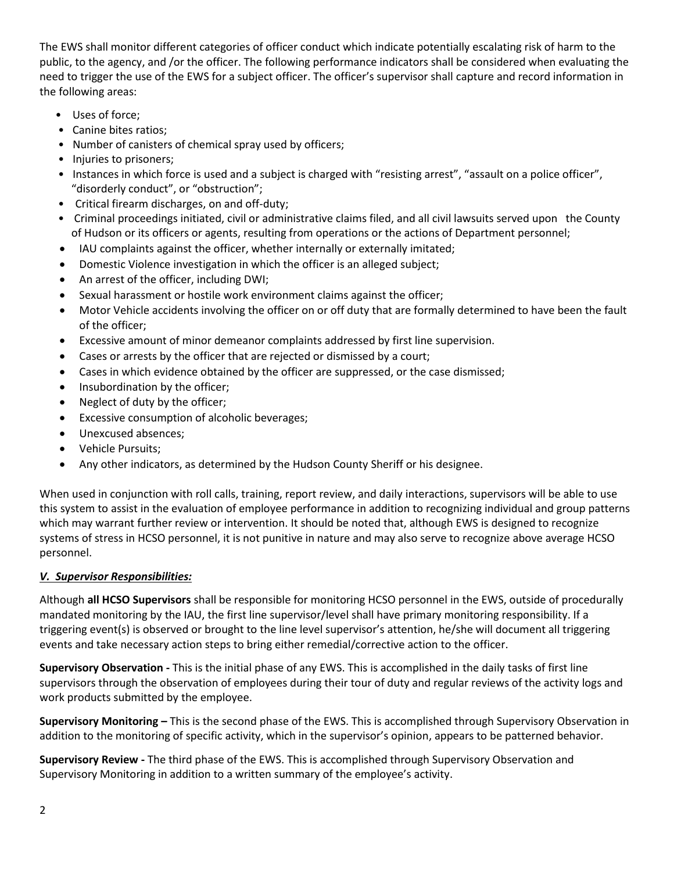The EWS shall monitor different categories of officer conduct which indicate potentially escalating risk of harm to the public, to the agency, and /or the officer. The following performance indicators shall be considered when evaluating the need to trigger the use of the EWS for a subject officer. The officer's supervisor shall capture and record information in the following areas:

- Uses of force;
- Canine bites ratios;
- Number of canisters of chemical spray used by officers;
- Injuries to prisoners;
- Instances in which force is used and a subject is charged with "resisting arrest", "assault on a police officer", "disorderly conduct", or "obstruction";
- Critical firearm discharges, on and off-duty;
- Criminal proceedings initiated, civil or administrative claims filed, and all civil lawsuits served upon the County of Hudson or its officers or agents, resulting from operations or the actions of Department personnel;
- IAU complaints against the officer, whether internally or externally imitated;
- Domestic Violence investigation in which the officer is an alleged subject;
- An arrest of the officer, including DWI;
- Sexual harassment or hostile work environment claims against the officer;
- Motor Vehicle accidents involving the officer on or off duty that are formally determined to have been the fault of the officer;
- Excessive amount of minor demeanor complaints addressed by first line supervision.
- Cases or arrests by the officer that are rejected or dismissed by a court;
- Cases in which evidence obtained by the officer are suppressed, or the case dismissed;
- Insubordination by the officer;
- Neglect of duty by the officer;
- Excessive consumption of alcoholic beverages;
- Unexcused absences;
- Vehicle Pursuits;
- Any other indicators, as determined by the Hudson County Sheriff or his designee.

When used in conjunction with roll calls, training, report review, and daily interactions, supervisors will be able to use this system to assist in the evaluation of employee performance in addition to recognizing individual and group patterns which may warrant further review or intervention. It should be noted that, although EWS is designed to recognize systems of stress in HCSO personnel, it is not punitive in nature and may also serve to recognize above average HCSO personnel.

#### *V. Supervisor Responsibilities:*

Although **all HCSO Supervisors** shall be responsible for monitoring HCSO personnel in the EWS, outside of procedurally mandated monitoring by the IAU, the first line supervisor/level shall have primary monitoring responsibility. If a triggering event(s) is observed or brought to the line level supervisor's attention, he/she will document all triggering events and take necessary action steps to bring either remedial/corrective action to the officer.

**Supervisory Observation -** This is the initial phase of any EWS. This is accomplished in the daily tasks of first line supervisors through the observation of employees during their tour of duty and regular reviews of the activity logs and work products submitted by the employee.

**Supervisory Monitoring –** This is the second phase of the EWS. This is accomplished through Supervisory Observation in addition to the monitoring of specific activity, which in the supervisor's opinion, appears to be patterned behavior.

**Supervisory Review -** The third phase of the EWS. This is accomplished through Supervisory Observation and Supervisory Monitoring in addition to a written summary of the employee's activity.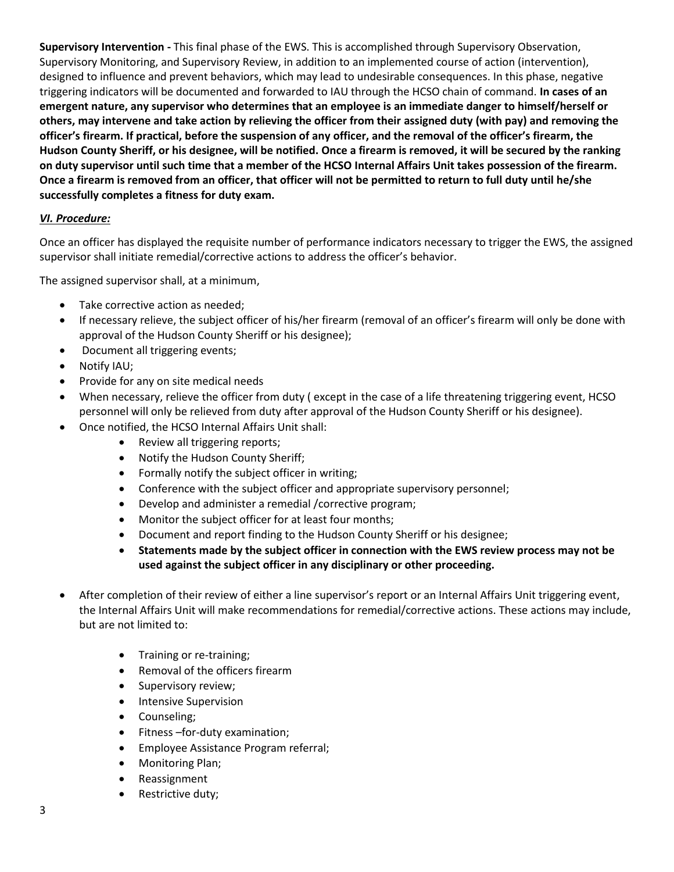**Supervisory Intervention -** This final phase of the EWS. This is accomplished through Supervisory Observation, Supervisory Monitoring, and Supervisory Review, in addition to an implemented course of action (intervention), designed to influence and prevent behaviors, which may lead to undesirable consequences. In this phase, negative triggering indicators will be documented and forwarded to IAU through the HCSO chain of command. **In cases of an emergent nature, any supervisor who determines that an employee is an immediate danger to himself/herself or others, may intervene and take action by relieving the officer from their assigned duty (with pay) and removing the officer's firearm. If practical, before the suspension of any officer, and the removal of the officer's firearm, the Hudson County Sheriff, or his designee, will be notified. Once a firearm is removed, it will be secured by the ranking on duty supervisor until such time that a member of the HCSO Internal Affairs Unit takes possession of the firearm. Once a firearm is removed from an officer, that officer will not be permitted to return to full duty until he/she successfully completes a fitness for duty exam.** 

#### *VI. Procedure:*

Once an officer has displayed the requisite number of performance indicators necessary to trigger the EWS, the assigned supervisor shall initiate remedial/corrective actions to address the officer's behavior.

The assigned supervisor shall, at a minimum,

- Take corrective action as needed;
- If necessary relieve, the subject officer of his/her firearm (removal of an officer's firearm will only be done with approval of the Hudson County Sheriff or his designee);
- Document all triggering events;
- Notify IAU;
- Provide for any on site medical needs
- When necessary, relieve the officer from duty ( except in the case of a life threatening triggering event, HCSO personnel will only be relieved from duty after approval of the Hudson County Sheriff or his designee).
- Once notified, the HCSO Internal Affairs Unit shall:
	- Review all triggering reports;
	- Notify the Hudson County Sheriff;
	- Formally notify the subject officer in writing;
	- Conference with the subject officer and appropriate supervisory personnel;
	- Develop and administer a remedial /corrective program;
	- Monitor the subject officer for at least four months;
	- Document and report finding to the Hudson County Sheriff or his designee;
	- **Statements made by the subject officer in connection with the EWS review process may not be used against the subject officer in any disciplinary or other proceeding.**
- After completion of their review of either a line supervisor's report or an Internal Affairs Unit triggering event, the Internal Affairs Unit will make recommendations for remedial/corrective actions. These actions may include, but are not limited to:
	- Training or re-training;
	- Removal of the officers firearm
	- Supervisory review;
	- **•** Intensive Supervision
	- Counseling;
	- Fitness –for-duty examination;
	- **•** Employee Assistance Program referral;
	- Monitoring Plan;
	- Reassignment
	- Restrictive duty;